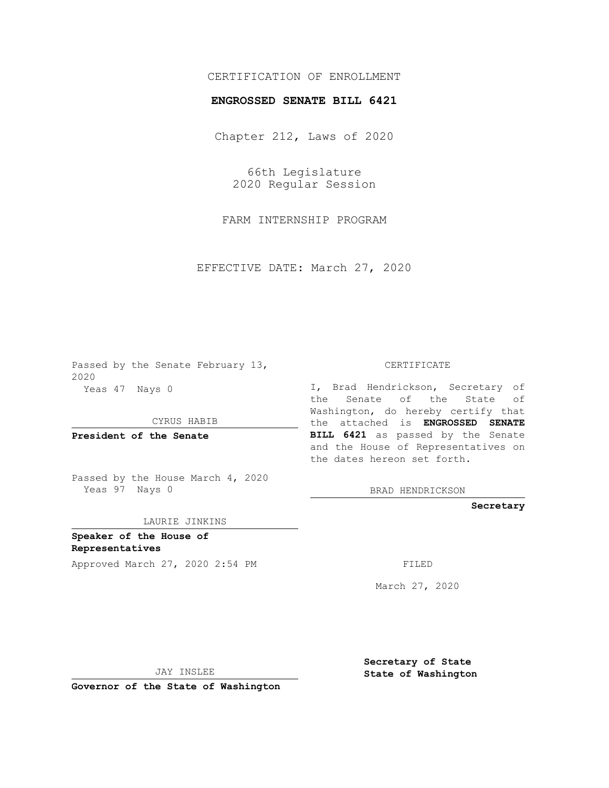## CERTIFICATION OF ENROLLMENT

## **ENGROSSED SENATE BILL 6421**

Chapter 212, Laws of 2020

66th Legislature 2020 Regular Session

FARM INTERNSHIP PROGRAM

EFFECTIVE DATE: March 27, 2020

Passed by the Senate February 13, 2020 Yeas 47 Nays 0

CYRUS HABIB

**President of the Senate**

Passed by the House March 4, 2020 Yeas 97 Nays 0

LAURIE JINKINS

**Speaker of the House of Representatives**

Approved March 27, 2020 2:54 PM

CERTIFICATE

I, Brad Hendrickson, Secretary of the Senate of the State of Washington, do hereby certify that the attached is **ENGROSSED SENATE BILL 6421** as passed by the Senate and the House of Representatives on the dates hereon set forth.

BRAD HENDRICKSON

**Secretary**

March 27, 2020

JAY INSLEE

**Governor of the State of Washington**

**Secretary of State State of Washington**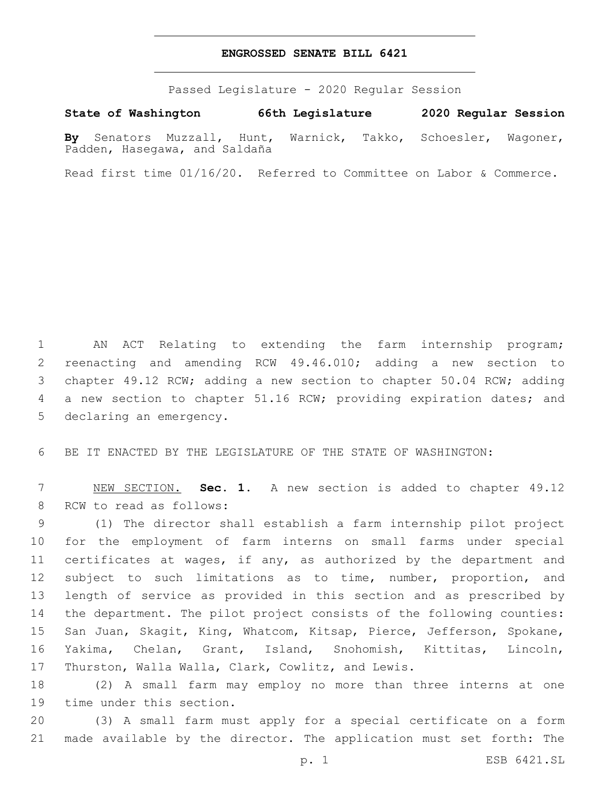## **ENGROSSED SENATE BILL 6421**

Passed Legislature - 2020 Regular Session

**State of Washington 66th Legislature 2020 Regular Session By** Senators Muzzall, Hunt, Warnick, Takko, Schoesler, Wagoner, Padden, Hasegawa, and Saldaña

Read first time 01/16/20. Referred to Committee on Labor & Commerce.

1 AN ACT Relating to extending the farm internship program; 2 reenacting and amending RCW 49.46.010; adding a new section to 3 chapter 49.12 RCW; adding a new section to chapter 50.04 RCW; adding 4 a new section to chapter 51.16 RCW; providing expiration dates; and 5 declaring an emergency.

6 BE IT ENACTED BY THE LEGISLATURE OF THE STATE OF WASHINGTON:

7 NEW SECTION. **Sec. 1.** A new section is added to chapter 49.12 8 RCW to read as follows:

 (1) The director shall establish a farm internship pilot project for the employment of farm interns on small farms under special certificates at wages, if any, as authorized by the department and subject to such limitations as to time, number, proportion, and length of service as provided in this section and as prescribed by the department. The pilot project consists of the following counties: San Juan, Skagit, King, Whatcom, Kitsap, Pierce, Jefferson, Spokane, Yakima, Chelan, Grant, Island, Snohomish, Kittitas, Lincoln, 17 Thurston, Walla Walla, Clark, Cowlitz, and Lewis.

18 (2) A small farm may employ no more than three interns at one 19 time under this section.

20 (3) A small farm must apply for a special certificate on a form 21 made available by the director. The application must set forth: The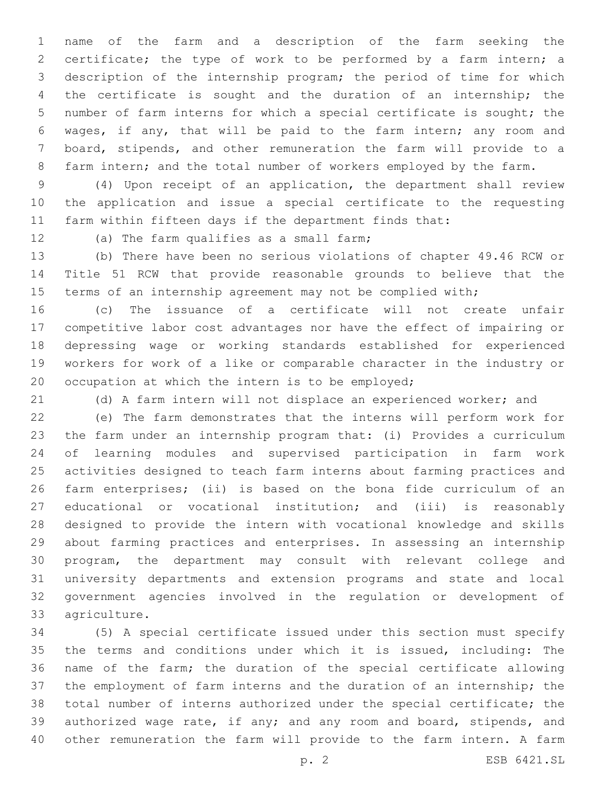name of the farm and a description of the farm seeking the certificate; the type of work to be performed by a farm intern; a description of the internship program; the period of time for which the certificate is sought and the duration of an internship; the number of farm interns for which a special certificate is sought; the wages, if any, that will be paid to the farm intern; any room and board, stipends, and other remuneration the farm will provide to a 8 farm intern; and the total number of workers employed by the farm.

 (4) Upon receipt of an application, the department shall review the application and issue a special certificate to the requesting farm within fifteen days if the department finds that:

12 (a) The farm qualifies as a small farm;

 (b) There have been no serious violations of chapter 49.46 RCW or Title 51 RCW that provide reasonable grounds to believe that the 15 terms of an internship agreement may not be complied with;

 (c) The issuance of a certificate will not create unfair competitive labor cost advantages nor have the effect of impairing or depressing wage or working standards established for experienced workers for work of a like or comparable character in the industry or 20 occupation at which the intern is to be employed;

(d) A farm intern will not displace an experienced worker; and

 (e) The farm demonstrates that the interns will perform work for the farm under an internship program that: (i) Provides a curriculum of learning modules and supervised participation in farm work activities designed to teach farm interns about farming practices and farm enterprises; (ii) is based on the bona fide curriculum of an educational or vocational institution; and (iii) is reasonably designed to provide the intern with vocational knowledge and skills about farming practices and enterprises. In assessing an internship program, the department may consult with relevant college and university departments and extension programs and state and local government agencies involved in the regulation or development of 33 agriculture.

 (5) A special certificate issued under this section must specify the terms and conditions under which it is issued, including: The name of the farm; the duration of the special certificate allowing the employment of farm interns and the duration of an internship; the total number of interns authorized under the special certificate; the authorized wage rate, if any; and any room and board, stipends, and other remuneration the farm will provide to the farm intern. A farm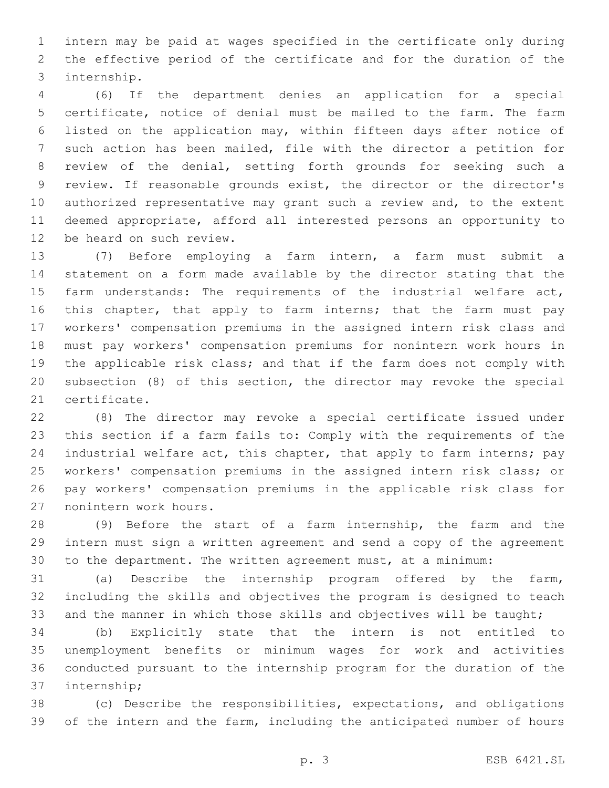intern may be paid at wages specified in the certificate only during the effective period of the certificate and for the duration of the 3 internship.

 (6) If the department denies an application for a special certificate, notice of denial must be mailed to the farm. The farm listed on the application may, within fifteen days after notice of such action has been mailed, file with the director a petition for review of the denial, setting forth grounds for seeking such a review. If reasonable grounds exist, the director or the director's authorized representative may grant such a review and, to the extent deemed appropriate, afford all interested persons an opportunity to 12 be heard on such review.

 (7) Before employing a farm intern, a farm must submit a statement on a form made available by the director stating that the 15 farm understands: The requirements of the industrial welfare act, 16 this chapter, that apply to farm interns; that the farm must pay workers' compensation premiums in the assigned intern risk class and must pay workers' compensation premiums for nonintern work hours in the applicable risk class; and that if the farm does not comply with subsection (8) of this section, the director may revoke the special 21 certificate.

 (8) The director may revoke a special certificate issued under this section if a farm fails to: Comply with the requirements of the industrial welfare act, this chapter, that apply to farm interns; pay workers' compensation premiums in the assigned intern risk class; or pay workers' compensation premiums in the applicable risk class for 27 nonintern work hours.

 (9) Before the start of a farm internship, the farm and the intern must sign a written agreement and send a copy of the agreement to the department. The written agreement must, at a minimum:

 (a) Describe the internship program offered by the farm, including the skills and objectives the program is designed to teach 33 and the manner in which those skills and objectives will be taught;

 (b) Explicitly state that the intern is not entitled to unemployment benefits or minimum wages for work and activities conducted pursuant to the internship program for the duration of the 37 internship;

 (c) Describe the responsibilities, expectations, and obligations of the intern and the farm, including the anticipated number of hours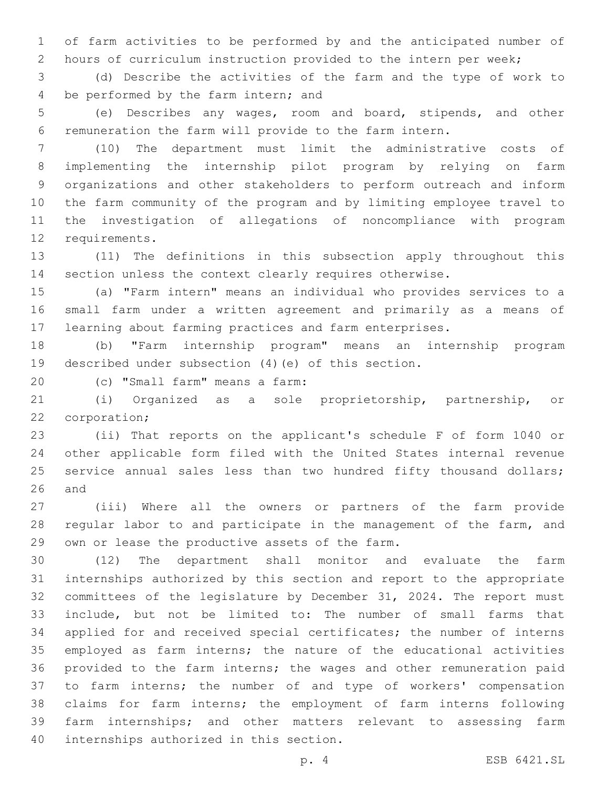of farm activities to be performed by and the anticipated number of hours of curriculum instruction provided to the intern per week;

 (d) Describe the activities of the farm and the type of work to 4 be performed by the farm intern; and

 (e) Describes any wages, room and board, stipends, and other remuneration the farm will provide to the farm intern.

 (10) The department must limit the administrative costs of implementing the internship pilot program by relying on farm organizations and other stakeholders to perform outreach and inform the farm community of the program and by limiting employee travel to the investigation of allegations of noncompliance with program 12 requirements.

 (11) The definitions in this subsection apply throughout this section unless the context clearly requires otherwise.

 (a) "Farm intern" means an individual who provides services to a small farm under a written agreement and primarily as a means of learning about farming practices and farm enterprises.

 (b) "Farm internship program" means an internship program described under subsection (4)(e) of this section.

(c) "Small farm" means a farm:20

 (i) Organized as a sole proprietorship, partnership, or 22 corporation;

 (ii) That reports on the applicant's schedule F of form 1040 or other applicable form filed with the United States internal revenue 25 service annual sales less than two hundred fifty thousand dollars; and

 (iii) Where all the owners or partners of the farm provide regular labor to and participate in the management of the farm, and 29 own or lease the productive assets of the farm.

 (12) The department shall monitor and evaluate the farm internships authorized by this section and report to the appropriate committees of the legislature by December 31, 2024. The report must include, but not be limited to: The number of small farms that applied for and received special certificates; the number of interns employed as farm interns; the nature of the educational activities provided to the farm interns; the wages and other remuneration paid to farm interns; the number of and type of workers' compensation claims for farm interns; the employment of farm interns following farm internships; and other matters relevant to assessing farm 40 internships authorized in this section.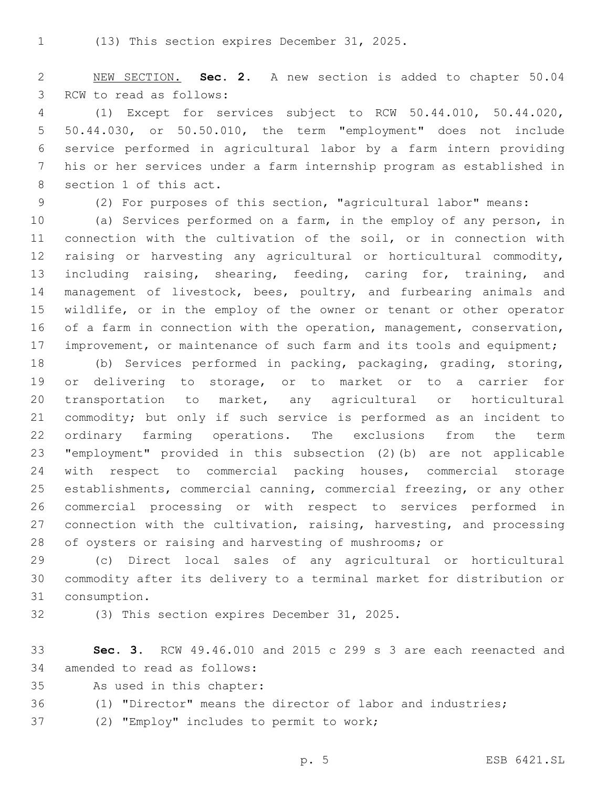NEW SECTION. **Sec. 2.** A new section is added to chapter 50.04 3 RCW to read as follows:

 (1) Except for services subject to RCW 50.44.010, 50.44.020, 50.44.030, or 50.50.010, the term "employment" does not include service performed in agricultural labor by a farm intern providing his or her services under a farm internship program as established in 8 section 1 of this act.

(2) For purposes of this section, "agricultural labor" means:

 (a) Services performed on a farm, in the employ of any person, in connection with the cultivation of the soil, or in connection with raising or harvesting any agricultural or horticultural commodity, including raising, shearing, feeding, caring for, training, and 14 management of livestock, bees, poultry, and furbearing animals and wildlife, or in the employ of the owner or tenant or other operator 16 of a farm in connection with the operation, management, conservation, 17 improvement, or maintenance of such farm and its tools and equipment;

 (b) Services performed in packing, packaging, grading, storing, or delivering to storage, or to market or to a carrier for transportation to market, any agricultural or horticultural commodity; but only if such service is performed as an incident to ordinary farming operations. The exclusions from the term "employment" provided in this subsection (2)(b) are not applicable with respect to commercial packing houses, commercial storage establishments, commercial canning, commercial freezing, or any other commercial processing or with respect to services performed in connection with the cultivation, raising, harvesting, and processing of oysters or raising and harvesting of mushrooms; or

 (c) Direct local sales of any agricultural or horticultural commodity after its delivery to a terminal market for distribution or 31 consumption.

32 (3) This section expires December 31, 2025.

 **Sec. 3.** RCW 49.46.010 and 2015 c 299 s 3 are each reenacted and 34 amended to read as follows:

35 As used in this chapter:

- (1) "Director" means the director of labor and industries;
- 37 (2) "Employ" includes to permit to work;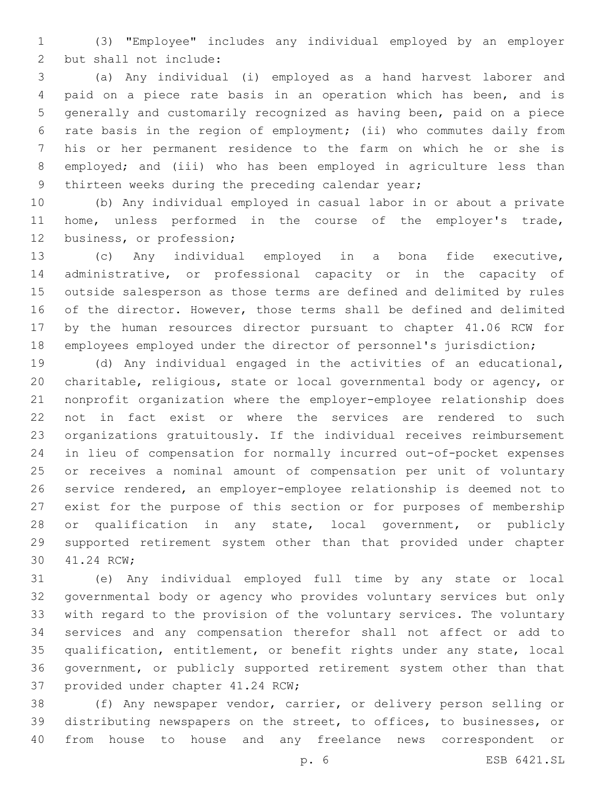(3) "Employee" includes any individual employed by an employer 2 but shall not include:

 (a) Any individual (i) employed as a hand harvest laborer and paid on a piece rate basis in an operation which has been, and is generally and customarily recognized as having been, paid on a piece rate basis in the region of employment; (ii) who commutes daily from his or her permanent residence to the farm on which he or she is employed; and (iii) who has been employed in agriculture less than 9 thirteen weeks during the preceding calendar year;

 (b) Any individual employed in casual labor in or about a private home, unless performed in the course of the employer's trade, 12 business, or profession;

 (c) Any individual employed in a bona fide executive, administrative, or professional capacity or in the capacity of outside salesperson as those terms are defined and delimited by rules of the director. However, those terms shall be defined and delimited by the human resources director pursuant to chapter 41.06 RCW for employees employed under the director of personnel's jurisdiction;

 (d) Any individual engaged in the activities of an educational, charitable, religious, state or local governmental body or agency, or nonprofit organization where the employer-employee relationship does not in fact exist or where the services are rendered to such organizations gratuitously. If the individual receives reimbursement in lieu of compensation for normally incurred out-of-pocket expenses or receives a nominal amount of compensation per unit of voluntary service rendered, an employer-employee relationship is deemed not to exist for the purpose of this section or for purposes of membership or qualification in any state, local government, or publicly supported retirement system other than that provided under chapter 30 41.24 RCW;

 (e) Any individual employed full time by any state or local governmental body or agency who provides voluntary services but only with regard to the provision of the voluntary services. The voluntary services and any compensation therefor shall not affect or add to qualification, entitlement, or benefit rights under any state, local government, or publicly supported retirement system other than that 37 provided under chapter 41.24 RCW;

 (f) Any newspaper vendor, carrier, or delivery person selling or distributing newspapers on the street, to offices, to businesses, or from house to house and any freelance news correspondent or

p. 6 ESB 6421.SL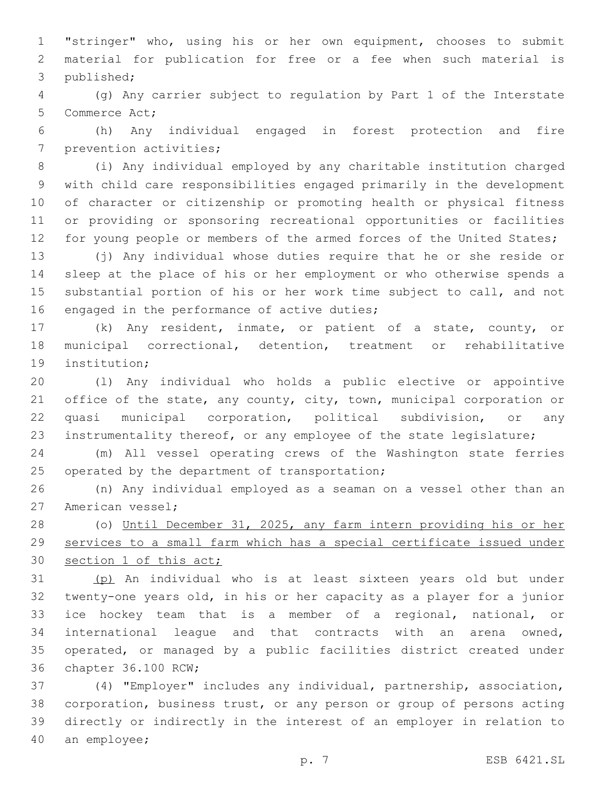"stringer" who, using his or her own equipment, chooses to submit material for publication for free or a fee when such material is 3 published;

 (g) Any carrier subject to regulation by Part 1 of the Interstate 5 Commerce Act;

 (h) Any individual engaged in forest protection and fire 7 prevention activities;

 (i) Any individual employed by any charitable institution charged with child care responsibilities engaged primarily in the development of character or citizenship or promoting health or physical fitness or providing or sponsoring recreational opportunities or facilities 12 for young people or members of the armed forces of the United States;

 (j) Any individual whose duties require that he or she reside or sleep at the place of his or her employment or who otherwise spends a substantial portion of his or her work time subject to call, and not 16 engaged in the performance of active duties;

 (k) Any resident, inmate, or patient of a state, county, or municipal correctional, detention, treatment or rehabilitative 19 institution;

 (l) Any individual who holds a public elective or appointive 21 office of the state, any county, city, town, municipal corporation or quasi municipal corporation, political subdivision, or any instrumentality thereof, or any employee of the state legislature;

 (m) All vessel operating crews of the Washington state ferries 25 operated by the department of transportation;

 (n) Any individual employed as a seaman on a vessel other than an 27 American vessel;

 (o) Until December 31, 2025, any farm intern providing his or her services to a small farm which has a special certificate issued under section 1 of this act;

 (p) An individual who is at least sixteen years old but under twenty-one years old, in his or her capacity as a player for a junior ice hockey team that is a member of a regional, national, or international league and that contracts with an arena owned, operated, or managed by a public facilities district created under 36 chapter 36.100 RCW;

 (4) "Employer" includes any individual, partnership, association, corporation, business trust, or any person or group of persons acting directly or indirectly in the interest of an employer in relation to 40 an employee;